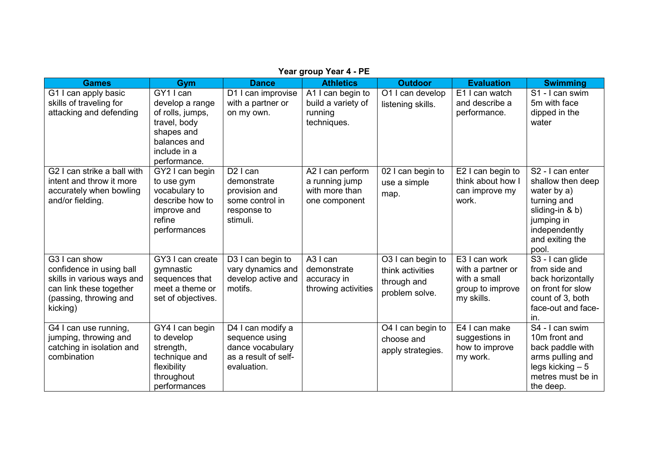| <b>Games</b>                                                                                                                             | Gym                                                                                                                            | <b>Dance</b>                                                                                   | <b>Athletics</b>                                                          | <b>Outdoor</b>                                                         | <b>Evaluation</b>                                                                    | <b>Swimming</b>                                                                                                                                               |
|------------------------------------------------------------------------------------------------------------------------------------------|--------------------------------------------------------------------------------------------------------------------------------|------------------------------------------------------------------------------------------------|---------------------------------------------------------------------------|------------------------------------------------------------------------|--------------------------------------------------------------------------------------|---------------------------------------------------------------------------------------------------------------------------------------------------------------|
| G1 I can apply basic<br>skills of traveling for<br>attacking and defending                                                               | GY1 I can<br>develop a range<br>of rolls, jumps,<br>travel, body<br>shapes and<br>balances and<br>include in a<br>performance. | D1 I can improvise<br>with a partner or<br>on my own.                                          | A1 I can begin to<br>build a variety of<br>running<br>techniques.         | O1 I can develop<br>listening skills.                                  | E1 I can watch<br>and describe a<br>performance.                                     | S1 - I can swim<br>5m with face<br>dipped in the<br>water                                                                                                     |
| G2 I can strike a ball with<br>intent and throw it more<br>accurately when bowling<br>and/or fielding.                                   | GY2 I can begin<br>to use gym<br>vocabulary to<br>describe how to<br>improve and<br>refine<br>performances                     | $D2$ I can<br>demonstrate<br>provision and<br>some control in<br>response to<br>stimuli.       | A2 I can perform<br>a running jump<br>with more than<br>one component     | 02 I can begin to<br>use a simple<br>map.                              | E2 I can begin to<br>think about how I<br>can improve my<br>work.                    | S <sub>2</sub> - I can enter<br>shallow then deep<br>water by a)<br>turning and<br>sliding-in & b)<br>jumping in<br>independently<br>and exiting the<br>pool. |
| G3 I can show<br>confidence in using ball<br>skills in various ways and<br>can link these together<br>(passing, throwing and<br>kicking) | GY3 I can create<br>gymnastic<br>sequences that<br>meet a theme or<br>set of objectives.                                       | D3 I can begin to<br>vary dynamics and<br>develop active and<br>motifs.                        | A <sub>3</sub> I can<br>demonstrate<br>accuracy in<br>throwing activities | O3 I can begin to<br>think activities<br>through and<br>problem solve. | E3 I can work<br>with a partner or<br>with a small<br>group to improve<br>my skills. | S3 - I can glide<br>from side and<br>back horizontally<br>on front for slow<br>count of 3, both<br>face-out and face-<br>in.                                  |
| G4 I can use running,<br>jumping, throwing and<br>catching in isolation and<br>combination                                               | GY4 I can begin<br>to develop<br>strength,<br>technique and<br>flexibility<br>throughout<br>performances                       | D4 I can modify a<br>sequence using<br>dance vocabulary<br>as a result of self-<br>evaluation. |                                                                           | O4 I can begin to<br>choose and<br>apply strategies.                   | E4 I can make<br>suggestions in<br>how to improve<br>my work.                        | S4 - I can swim<br>10 <sub>m</sub> front and<br>back paddle with<br>arms pulling and<br>$legs$ kicking $-5$<br>metres must be in<br>the deep.                 |

**Year group Year 4 - PE**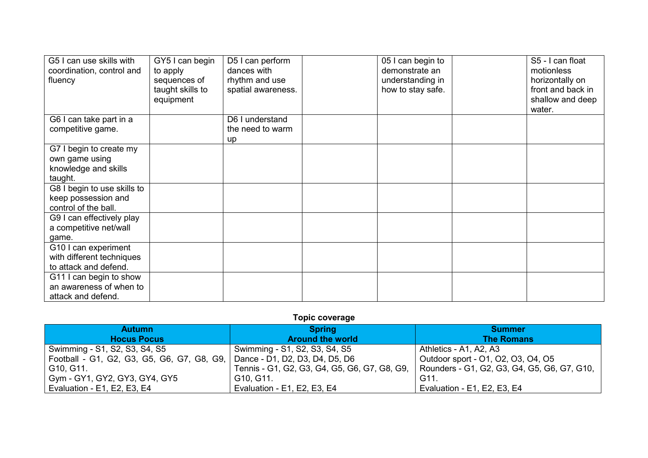| G5 I can use skills with    | GY5 I can begin  | D5 I can perform   | 05 I can begin to | S5 - I can float  |
|-----------------------------|------------------|--------------------|-------------------|-------------------|
| coordination, control and   | to apply         | dances with        | demonstrate an    | motionless        |
| fluency                     | sequences of     | rhythm and use     | understanding in  | horizontally on   |
|                             | taught skills to | spatial awareness. | how to stay safe. | front and back in |
|                             | equipment        |                    |                   | shallow and deep  |
|                             |                  |                    |                   | water.            |
| G6 I can take part in a     |                  | D6 I understand    |                   |                   |
| competitive game.           |                  | the need to warm   |                   |                   |
|                             |                  | up                 |                   |                   |
| G7 I begin to create my     |                  |                    |                   |                   |
| own game using              |                  |                    |                   |                   |
| knowledge and skills        |                  |                    |                   |                   |
| taught.                     |                  |                    |                   |                   |
| G8 I begin to use skills to |                  |                    |                   |                   |
| keep possession and         |                  |                    |                   |                   |
| control of the ball.        |                  |                    |                   |                   |
| G9 I can effectively play   |                  |                    |                   |                   |
| a competitive net/wall      |                  |                    |                   |                   |
| game.                       |                  |                    |                   |                   |
| G10 I can experiment        |                  |                    |                   |                   |
| with different techniques   |                  |                    |                   |                   |
| to attack and defend.       |                  |                    |                   |                   |
| G11 I can begin to show     |                  |                    |                   |                   |
| an awareness of when to     |                  |                    |                   |                   |
| attack and defend.          |                  |                    |                   |                   |

## **Topic coverage**

| <b>Autumn</b>                              | Spring /                                     | <b>Summer</b>                               |  |
|--------------------------------------------|----------------------------------------------|---------------------------------------------|--|
| <b>Hocus Pocus</b>                         | <b>Around the world</b>                      | <b>The Romans</b>                           |  |
| Swimming - S1, S2, S3, S4, S5              | Swimming - S1, S2, S3, S4, S5                | Athletics - A1, A2, A3                      |  |
| Football - G1, G2, G3, G5, G6, G7, G8, G9, | ,   Dance - D1, D2, D3, D4, D5, D6           | Outdoor sport - 01, 02, 03, 04, 05          |  |
| G10, G11.                                  | Tennis - G1, G2, G3, G4, G5, G6, G7, G8, G9, | Rounders - G1, G2, G3, G4, G5, G6, G7, G10, |  |
| Gym - GY1, GY2, GY3, GY4, GY5              | G10, G11.                                    | G11.                                        |  |
| Evaluation - E1, E2, E3, E4                | Evaluation - E1, E2, E3, E4                  | Evaluation - E1, E2, E3, E4                 |  |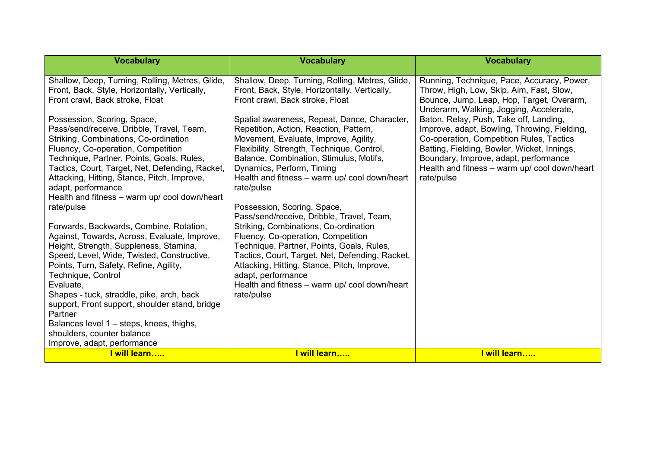| <b>Vocabulary</b>                                                                                                                                                                                                                                                                                                                                                                                                                                                                                                                              | <b>Vocabulary</b>                                                                                                                                                                                                                                                                                                                                                                           | <b>Vocabulary</b>                                                                                                                                                                                                                                                                         |
|------------------------------------------------------------------------------------------------------------------------------------------------------------------------------------------------------------------------------------------------------------------------------------------------------------------------------------------------------------------------------------------------------------------------------------------------------------------------------------------------------------------------------------------------|---------------------------------------------------------------------------------------------------------------------------------------------------------------------------------------------------------------------------------------------------------------------------------------------------------------------------------------------------------------------------------------------|-------------------------------------------------------------------------------------------------------------------------------------------------------------------------------------------------------------------------------------------------------------------------------------------|
| Shallow, Deep, Turning, Rolling, Metres, Glide,<br>Front, Back, Style, Horizontally, Vertically,<br>Front crawl, Back stroke, Float                                                                                                                                                                                                                                                                                                                                                                                                            | Shallow, Deep, Turning, Rolling, Metres, Glide,<br>Front, Back, Style, Horizontally, Vertically,<br>Front crawl, Back stroke, Float                                                                                                                                                                                                                                                         | Running, Technique, Pace, Accuracy, Power,<br>Throw, High, Low, Skip, Aim, Fast, Slow,<br>Bounce, Jump, Leap, Hop, Target, Overarm,<br>Underarm, Walking, Jogging, Accelerate,                                                                                                            |
| Possession, Scoring, Space,<br>Pass/send/receive, Dribble, Travel, Team,<br>Striking, Combinations, Co-ordination<br>Fluency, Co-operation, Competition<br>Technique, Partner, Points, Goals, Rules,<br>Tactics, Court, Target, Net, Defending, Racket,<br>Attacking, Hitting, Stance, Pitch, Improve,<br>adapt, performance                                                                                                                                                                                                                   | Spatial awareness, Repeat, Dance, Character,<br>Repetition, Action, Reaction, Pattern,<br>Movement, Evaluate, Improve, Agility,<br>Flexibility, Strength, Technique, Control,<br>Balance, Combination, Stimulus, Motifs,<br>Dynamics, Perform, Timing<br>Health and fitness - warm up/ cool down/heart<br>rate/pulse                                                                        | Baton, Relay, Push, Take off, Landing,<br>Improve, adapt, Bowling, Throwing, Fielding,<br>Co-operation, Competition Rules, Tactics<br>Batting, Fielding, Bowler, Wicket, Innings,<br>Boundary, Improve, adapt, performance<br>Health and fitness - warm up/ cool down/heart<br>rate/pulse |
| Health and fitness - warm up/ cool down/heart<br>rate/pulse<br>Forwards, Backwards, Combine, Rotation,<br>Against, Towards, Across, Evaluate, Improve,<br>Height, Strength, Suppleness, Stamina,<br>Speed, Level, Wide, Twisted, Constructive,<br>Points, Turn, Safety, Refine, Agility,<br>Technique, Control<br>Evaluate,<br>Shapes - tuck, straddle, pike, arch, back<br>support, Front support, shoulder stand, bridge<br>Partner<br>Balances level 1 – steps, knees, thighs,<br>shoulders, counter balance<br>Improve, adapt, performance | Possession, Scoring, Space,<br>Pass/send/receive, Dribble, Travel, Team,<br>Striking, Combinations, Co-ordination<br>Fluency, Co-operation, Competition<br>Technique, Partner, Points, Goals, Rules,<br>Tactics, Court, Target, Net, Defending, Racket,<br>Attacking, Hitting, Stance, Pitch, Improve,<br>adapt, performance<br>Health and fitness - warm up/ cool down/heart<br>rate/pulse |                                                                                                                                                                                                                                                                                           |
| <u>l will learn…</u>                                                                                                                                                                                                                                                                                                                                                                                                                                                                                                                           | I will learn                                                                                                                                                                                                                                                                                                                                                                                | I will learn                                                                                                                                                                                                                                                                              |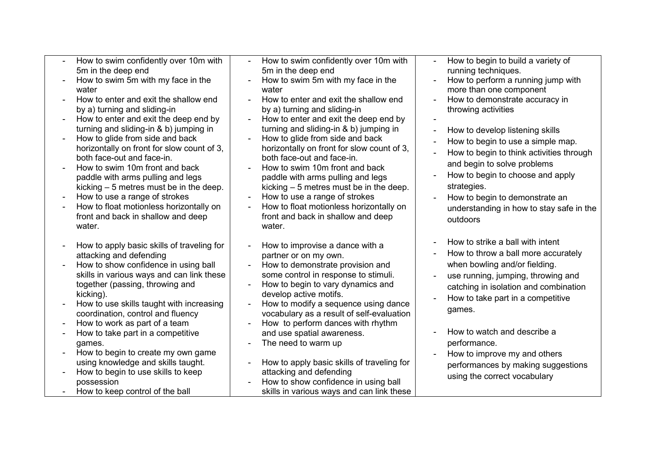| $\sim$ | How to swim confidently over 10m with |  |
|--------|---------------------------------------|--|
|        | 5m in the deep end                    |  |

- How to swim 5m with my face in the water
- How to enter and exit the shallow end by a) turning and sliding-in
- How to enter and exit the deep end by turning and sliding-in & b) jumping in
- How to glide from side and back horizontally on front for slow count of 3, both face-out and face-in.
- How to swim 10m front and back paddle with arms pulling and legs kicking – 5 metres must be in the deep.
- How to use a range of strokes
- How to float motionless horizontally on front and back in shallow and deep water
- How to apply basic skills of traveling for attacking and defending
- How to show confidence in using ball skills in various ways and can link these together (passing, throwing and kicking).
- How to use skills taught with increasing coordination, control and fluency
- How to work as part of a team
- How to take part in a competitive games.
- How to begin to create my own game using knowledge and skills taught.
- How to begin to use skills to keep possession
- How to keep control of the ball
- How to swim confidently over 10m with 5m in the deep end
- How to swim 5m with my face in the water
- How to enter and exit the shallow end by a) turning and sliding-in
- How to enter and exit the deep end by turning and sliding-in & b) jumping in
- How to glide from side and back horizontally on front for slow count of 3, both face-out and face-in.
- How to swim 10m front and back paddle with arms pulling and legs kicking – 5 metres must be in the deep.
- How to use a range of strokes
- How to float motionless horizontally on front and back in shallow and deep water.
- How to improvise a dance with a partner or on my own.
- How to demonstrate provision and some control in response to stimuli.
- How to begin to vary dynamics and develop active motifs.
- How to modify a sequence using dance vocabulary as a result of self-evaluation
- How to perform dances with rhythm and use spatial awareness.
- The need to warm up
- How to apply basic skills of traveling for attacking and defending - How to show confidence in using ball
- skills in various ways and can link these
- How to begin to build a variety of running techniques.
- How to perform a running jump with more than one component
- How to demonstrate accuracy in throwing activities
- -
- How to develop listening skills
- How to begin to use a simple map.
- How to begin to think activities through and begin to solve problems
- How to begin to choose and apply strategies.
- How to begin to demonstrate an understanding in how to stay safe in the outdoors
- How to strike a ball with intent
- How to throw a ball more accurately when bowling and/or fielding.
- use running, jumping, throwing and catching in isolation and combination
- How to take part in a competitive games.
- How to watch and describe a performance.
- How to improve my and others performances by making suggestions using the correct vocabulary